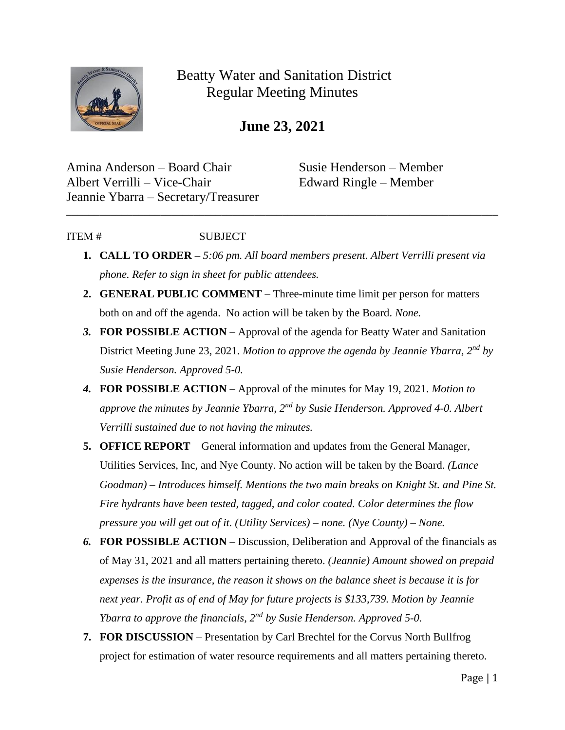

Beatty Water and Sanitation District Regular Meeting Minutes

**June 23, 2021**

Amina Anderson – Board Chair Susie Henderson – Member Albert Verrilli – Vice-Chair Edward Ringle – Member Jeannie Ybarra – Secretary/Treasurer

## ITEM # SUBJECT

**1. CALL TO ORDER –** *5:06 pm. All board members present. Albert Verrilli present via phone. Refer to sign in sheet for public attendees.* 

\_\_\_\_\_\_\_\_\_\_\_\_\_\_\_\_\_\_\_\_\_\_\_\_\_\_\_\_\_\_\_\_\_\_\_\_\_\_\_\_\_\_\_\_\_\_\_\_\_\_\_\_\_\_\_\_\_\_\_\_\_\_\_\_\_\_\_\_\_\_\_\_\_\_\_\_\_\_

- **2. GENERAL PUBLIC COMMENT** Three-minute time limit per person for matters both on and off the agenda. No action will be taken by the Board. *None.*
- *3.* **FOR POSSIBLE ACTION** Approval of the agenda for Beatty Water and Sanitation District Meeting June 23, 2021. *Motion to approve the agenda by Jeannie Ybarra, 2nd by Susie Henderson. Approved 5-0.*
- *4.* **FOR POSSIBLE ACTION**  Approval of the minutes for May 19, 2021. *Motion to approve the minutes by Jeannie Ybarra, 2nd by Susie Henderson. Approved 4-0. Albert Verrilli sustained due to not having the minutes.*
- **5. OFFICE REPORT**  General information and updates from the General Manager, Utilities Services, Inc, and Nye County. No action will be taken by the Board. *(Lance Goodman) – Introduces himself. Mentions the two main breaks on Knight St. and Pine St. Fire hydrants have been tested, tagged, and color coated. Color determines the flow pressure you will get out of it. (Utility Services) – none. (Nye County) – None.*
- *6.* **FOR POSSIBLE ACTION** Discussion, Deliberation and Approval of the financials as of May 31, 2021 and all matters pertaining thereto. *(Jeannie) Amount showed on prepaid expenses is the insurance, the reason it shows on the balance sheet is because it is for next year. Profit as of end of May for future projects is \$133,739. Motion by Jeannie Ybarra to approve the financials, 2nd by Susie Henderson. Approved 5-0.*
- **7. FOR DISCUSSION** Presentation by Carl Brechtel for the Corvus North Bullfrog project for estimation of water resource requirements and all matters pertaining thereto.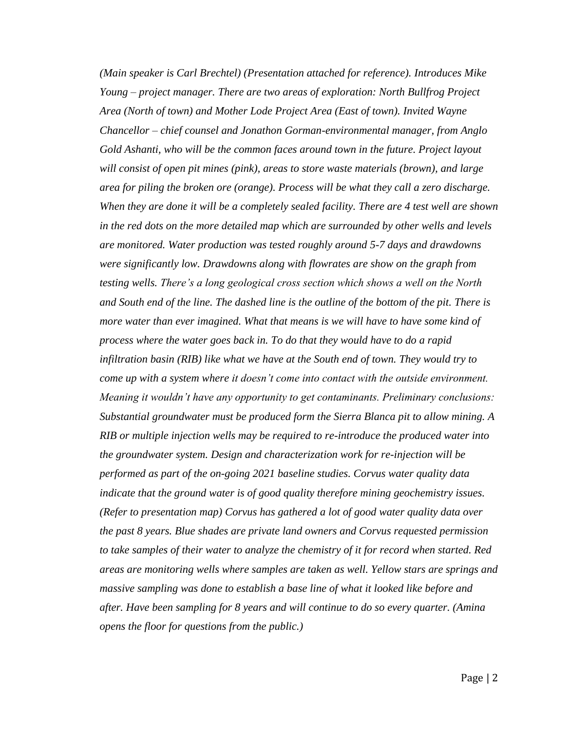*(Main speaker is Carl Brechtel) (Presentation attached for reference). Introduces Mike Young – project manager. There are two areas of exploration: North Bullfrog Project Area (North of town) and Mother Lode Project Area (East of town). Invited Wayne Chancellor – chief counsel and Jonathon Gorman-environmental manager, from Anglo Gold Ashanti, who will be the common faces around town in the future. Project layout will consist of open pit mines (pink), areas to store waste materials (brown), and large area for piling the broken ore (orange). Process will be what they call a zero discharge. When they are done it will be a completely sealed facility. There are 4 test well are shown in the red dots on the more detailed map which are surrounded by other wells and levels are monitored. Water production was tested roughly around 5-7 days and drawdowns were significantly low. Drawdowns along with flowrates are show on the graph from testing wells. There's a long geological cross section which shows a well on the North and South end of the line. The dashed line is the outline of the bottom of the pit. There is more water than ever imagined. What that means is we will have to have some kind of process where the water goes back in. To do that they would have to do a rapid infiltration basin (RIB) like what we have at the South end of town. They would try to come up with a system where it doesn't come into contact with the outside environment. Meaning it wouldn't have any opportunity to get contaminants. Preliminary conclusions: Substantial groundwater must be produced form the Sierra Blanca pit to allow mining. A RIB or multiple injection wells may be required to re-introduce the produced water into the groundwater system. Design and characterization work for re-injection will be performed as part of the on-going 2021 baseline studies. Corvus water quality data indicate that the ground water is of good quality therefore mining geochemistry issues. (Refer to presentation map) Corvus has gathered a lot of good water quality data over the past 8 years. Blue shades are private land owners and Corvus requested permission to take samples of their water to analyze the chemistry of it for record when started. Red areas are monitoring wells where samples are taken as well. Yellow stars are springs and massive sampling was done to establish a base line of what it looked like before and after. Have been sampling for 8 years and will continue to do so every quarter. (Amina opens the floor for questions from the public.)*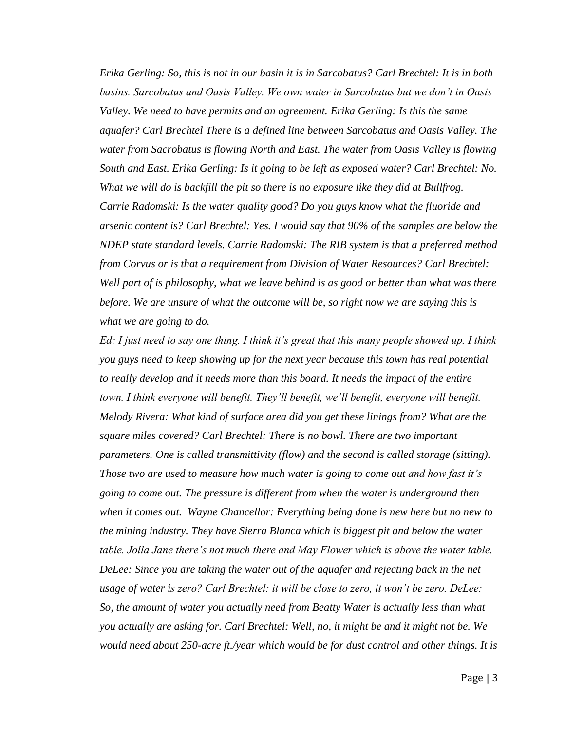*Erika Gerling: So, this is not in our basin it is in Sarcobatus? Carl Brechtel: It is in both basins. Sarcobatus and Oasis Valley. We own water in Sarcobatus but we don't in Oasis Valley. We need to have permits and an agreement. Erika Gerling: Is this the same aquafer? Carl Brechtel There is a defined line between Sarcobatus and Oasis Valley. The water from Sacrobatus is flowing North and East. The water from Oasis Valley is flowing South and East. Erika Gerling: Is it going to be left as exposed water? Carl Brechtel: No. What we will do is backfill the pit so there is no exposure like they did at Bullfrog. Carrie Radomski: Is the water quality good? Do you guys know what the fluoride and arsenic content is? Carl Brechtel: Yes. I would say that 90% of the samples are below the NDEP state standard levels. Carrie Radomski: The RIB system is that a preferred method from Corvus or is that a requirement from Division of Water Resources? Carl Brechtel: Well part of is philosophy, what we leave behind is as good or better than what was there before. We are unsure of what the outcome will be, so right now we are saying this is what we are going to do.* 

*Ed: I just need to say one thing. I think it's great that this many people showed up. I think you guys need to keep showing up for the next year because this town has real potential to really develop and it needs more than this board. It needs the impact of the entire town. I think everyone will benefit. They'll benefit, we'll benefit, everyone will benefit. Melody Rivera: What kind of surface area did you get these linings from? What are the square miles covered? Carl Brechtel: There is no bowl. There are two important parameters. One is called transmittivity (flow) and the second is called storage (sitting). Those two are used to measure how much water is going to come out and how fast it's going to come out. The pressure is different from when the water is underground then when it comes out. Wayne Chancellor: Everything being done is new here but no new to the mining industry. They have Sierra Blanca which is biggest pit and below the water table. Jolla Jane there's not much there and May Flower which is above the water table. DeLee: Since you are taking the water out of the aquafer and rejecting back in the net usage of water is zero? Carl Brechtel: it will be close to zero, it won't be zero. DeLee: So, the amount of water you actually need from Beatty Water is actually less than what you actually are asking for. Carl Brechtel: Well, no, it might be and it might not be. We would need about 250-acre ft./year which would be for dust control and other things. It is*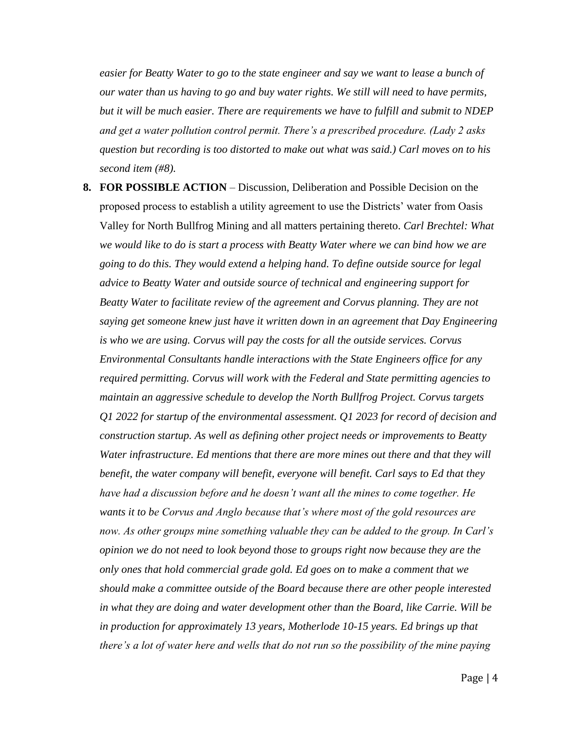*easier for Beatty Water to go to the state engineer and say we want to lease a bunch of our water than us having to go and buy water rights. We still will need to have permits, but it will be much easier. There are requirements we have to fulfill and submit to NDEP and get a water pollution control permit. There's a prescribed procedure. (Lady 2 asks question but recording is too distorted to make out what was said.) Carl moves on to his second item (#8).* 

**8. FOR POSSIBLE ACTION** – Discussion, Deliberation and Possible Decision on the proposed process to establish a utility agreement to use the Districts' water from Oasis Valley for North Bullfrog Mining and all matters pertaining thereto. *Carl Brechtel: What we would like to do is start a process with Beatty Water where we can bind how we are going to do this. They would extend a helping hand. To define outside source for legal advice to Beatty Water and outside source of technical and engineering support for Beatty Water to facilitate review of the agreement and Corvus planning. They are not saying get someone knew just have it written down in an agreement that Day Engineering is who we are using. Corvus will pay the costs for all the outside services. Corvus Environmental Consultants handle interactions with the State Engineers office for any required permitting. Corvus will work with the Federal and State permitting agencies to maintain an aggressive schedule to develop the North Bullfrog Project. Corvus targets Q1 2022 for startup of the environmental assessment. Q1 2023 for record of decision and construction startup. As well as defining other project needs or improvements to Beatty Water infrastructure. Ed mentions that there are more mines out there and that they will benefit, the water company will benefit, everyone will benefit. Carl says to Ed that they have had a discussion before and he doesn't want all the mines to come together. He wants it to be Corvus and Anglo because that's where most of the gold resources are now. As other groups mine something valuable they can be added to the group. In Carl's opinion we do not need to look beyond those to groups right now because they are the only ones that hold commercial grade gold. Ed goes on to make a comment that we should make a committee outside of the Board because there are other people interested in what they are doing and water development other than the Board, like Carrie. Will be in production for approximately 13 years, Motherlode 10-15 years. Ed brings up that there's a lot of water here and wells that do not run so the possibility of the mine paying*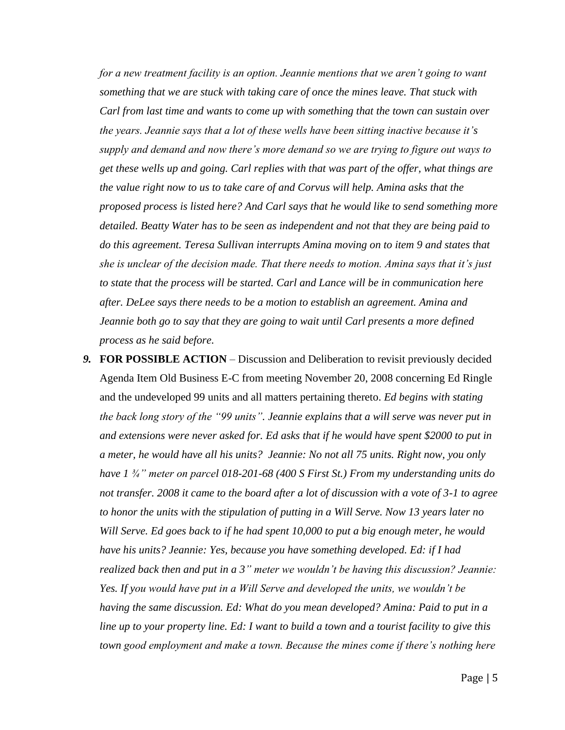*for a new treatment facility is an option. Jeannie mentions that we aren't going to want something that we are stuck with taking care of once the mines leave. That stuck with Carl from last time and wants to come up with something that the town can sustain over the years. Jeannie says that a lot of these wells have been sitting inactive because it's supply and demand and now there's more demand so we are trying to figure out ways to get these wells up and going. Carl replies with that was part of the offer, what things are the value right now to us to take care of and Corvus will help. Amina asks that the proposed process is listed here? And Carl says that he would like to send something more detailed. Beatty Water has to be seen as independent and not that they are being paid to do this agreement. Teresa Sullivan interrupts Amina moving on to item 9 and states that she is unclear of the decision made. That there needs to motion. Amina says that it's just to state that the process will be started. Carl and Lance will be in communication here after. DeLee says there needs to be a motion to establish an agreement. Amina and Jeannie both go to say that they are going to wait until Carl presents a more defined process as he said before.* 

*9.* **FOR POSSIBLE ACTION** – Discussion and Deliberation to revisit previously decided Agenda Item Old Business E-C from meeting November 20, 2008 concerning Ed Ringle and the undeveloped 99 units and all matters pertaining thereto. *Ed begins with stating the back long story of the "99 units". Jeannie explains that a will serve was never put in and extensions were never asked for. Ed asks that if he would have spent \$2000 to put in a meter, he would have all his units? Jeannie: No not all 75 units. Right now, you only have 1 ¾" meter on parcel 018-201-68 (400 S First St.) From my understanding units do not transfer. 2008 it came to the board after a lot of discussion with a vote of 3-1 to agree to honor the units with the stipulation of putting in a Will Serve. Now 13 years later no Will Serve. Ed goes back to if he had spent 10,000 to put a big enough meter, he would have his units? Jeannie: Yes, because you have something developed. Ed: if I had realized back then and put in a 3" meter we wouldn't be having this discussion? Jeannie: Yes. If you would have put in a Will Serve and developed the units, we wouldn't be having the same discussion. Ed: What do you mean developed? Amina: Paid to put in a line up to your property line. Ed: I want to build a town and a tourist facility to give this town good employment and make a town. Because the mines come if there's nothing here*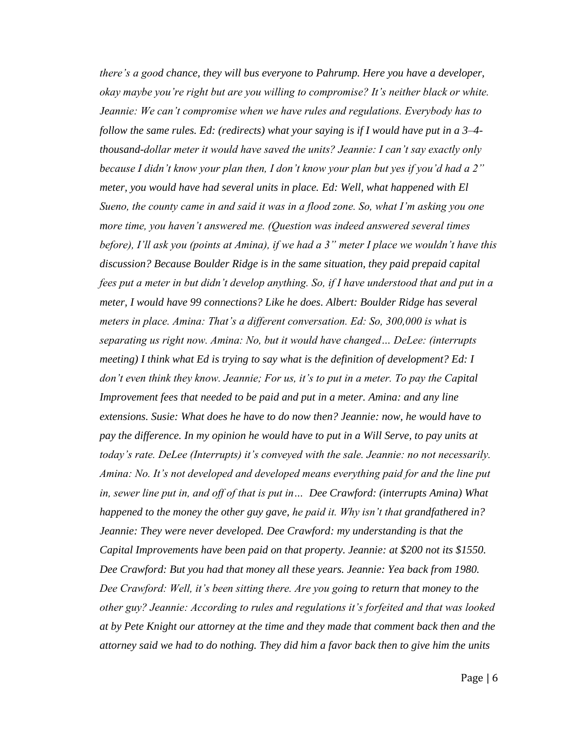*there's a good chance, they will bus everyone to Pahrump. Here you have a developer, okay maybe you're right but are you willing to compromise? It's neither black or white. Jeannie: We can't compromise when we have rules and regulations. Everybody has to follow the same rules. Ed: (redirects) what your saying is if I would have put in a 3–4 thousand-dollar meter it would have saved the units? Jeannie: I can't say exactly only because I didn't know your plan then, I don't know your plan but yes if you'd had a 2" meter, you would have had several units in place. Ed: Well, what happened with El Sueno, the county came in and said it was in a flood zone. So, what I'm asking you one more time, you haven't answered me. (Question was indeed answered several times before), I'll ask you (points at Amina), if we had a 3" meter I place we wouldn't have this discussion? Because Boulder Ridge is in the same situation, they paid prepaid capital fees put a meter in but didn't develop anything. So, if I have understood that and put in a meter, I would have 99 connections? Like he does. Albert: Boulder Ridge has several meters in place. Amina: That's a different conversation. Ed: So, 300,000 is what is separating us right now. Amina: No, but it would have changed… DeLee: (interrupts meeting) I think what Ed is trying to say what is the definition of development? Ed: I don't even think they know. Jeannie; For us, it's to put in a meter. To pay the Capital Improvement fees that needed to be paid and put in a meter. Amina: and any line extensions. Susie: What does he have to do now then? Jeannie: now, he would have to pay the difference. In my opinion he would have to put in a Will Serve, to pay units at today's rate. DeLee (Interrupts) it's conveyed with the sale. Jeannie: no not necessarily. Amina: No. It's not developed and developed means everything paid for and the line put in, sewer line put in, and off of that is put in… Dee Crawford: (interrupts Amina) What happened to the money the other guy gave, he paid it. Why isn't that grandfathered in? Jeannie: They were never developed. Dee Crawford: my understanding is that the Capital Improvements have been paid on that property. Jeannie: at \$200 not its \$1550. Dee Crawford: But you had that money all these years. Jeannie: Yea back from 1980. Dee Crawford: Well, it's been sitting there. Are you going to return that money to the other guy? Jeannie: According to rules and regulations it's forfeited and that was looked at by Pete Knight our attorney at the time and they made that comment back then and the attorney said we had to do nothing. They did him a favor back then to give him the units*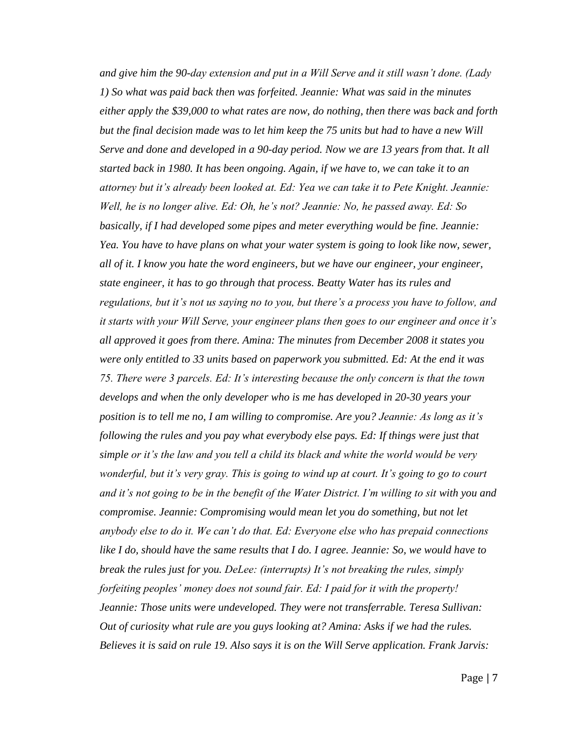*and give him the 90-day extension and put in a Will Serve and it still wasn't done. (Lady 1) So what was paid back then was forfeited. Jeannie: What was said in the minutes either apply the \$39,000 to what rates are now, do nothing, then there was back and forth but the final decision made was to let him keep the 75 units but had to have a new Will Serve and done and developed in a 90-day period. Now we are 13 years from that. It all started back in 1980. It has been ongoing. Again, if we have to, we can take it to an attorney but it's already been looked at. Ed: Yea we can take it to Pete Knight. Jeannie: Well, he is no longer alive. Ed: Oh, he's not? Jeannie: No, he passed away. Ed: So basically, if I had developed some pipes and meter everything would be fine. Jeannie: Yea. You have to have plans on what your water system is going to look like now, sewer, all of it. I know you hate the word engineers, but we have our engineer, your engineer, state engineer, it has to go through that process. Beatty Water has its rules and regulations, but it's not us saying no to you, but there's a process you have to follow, and it starts with your Will Serve, your engineer plans then goes to our engineer and once it's all approved it goes from there. Amina: The minutes from December 2008 it states you were only entitled to 33 units based on paperwork you submitted. Ed: At the end it was 75. There were 3 parcels. Ed: It's interesting because the only concern is that the town develops and when the only developer who is me has developed in 20-30 years your position is to tell me no, I am willing to compromise. Are you? Jeannie: As long as it's following the rules and you pay what everybody else pays. Ed: If things were just that simple or it's the law and you tell a child its black and white the world would be very wonderful, but it's very gray. This is going to wind up at court. It's going to go to court and it's not going to be in the benefit of the Water District. I'm willing to sit with you and compromise. Jeannie: Compromising would mean let you do something, but not let anybody else to do it. We can't do that. Ed: Everyone else who has prepaid connections like I do, should have the same results that I do. I agree. Jeannie: So, we would have to break the rules just for you. DeLee: (interrupts) It's not breaking the rules, simply forfeiting peoples' money does not sound fair. Ed: I paid for it with the property! Jeannie: Those units were undeveloped. They were not transferrable. Teresa Sullivan: Out of curiosity what rule are you guys looking at? Amina: Asks if we had the rules. Believes it is said on rule 19. Also says it is on the Will Serve application. Frank Jarvis:*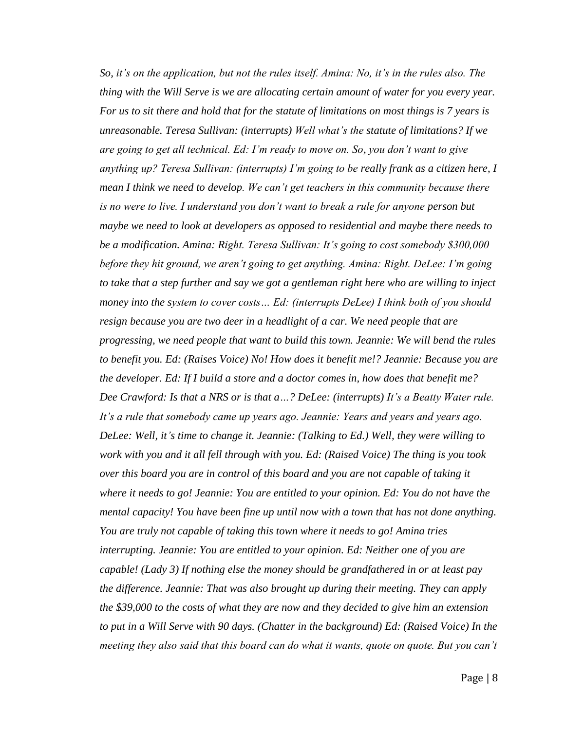*So, it's on the application, but not the rules itself. Amina: No, it's in the rules also. The thing with the Will Serve is we are allocating certain amount of water for you every year. For us to sit there and hold that for the statute of limitations on most things is 7 years is unreasonable. Teresa Sullivan: (interrupts) Well what's the statute of limitations? If we are going to get all technical. Ed: I'm ready to move on. So, you don't want to give anything up? Teresa Sullivan: (interrupts) I'm going to be really frank as a citizen here, I mean I think we need to develop. We can't get teachers in this community because there is no were to live. I understand you don't want to break a rule for anyone person but maybe we need to look at developers as opposed to residential and maybe there needs to be a modification. Amina: Right. Teresa Sullivan: It's going to cost somebody \$300,000 before they hit ground, we aren't going to get anything. Amina: Right. DeLee: I'm going to take that a step further and say we got a gentleman right here who are willing to inject money into the system to cover costs… Ed: (interrupts DeLee) I think both of you should resign because you are two deer in a headlight of a car. We need people that are progressing, we need people that want to build this town. Jeannie: We will bend the rules to benefit you. Ed: (Raises Voice) No! How does it benefit me!? Jeannie: Because you are the developer. Ed: If I build a store and a doctor comes in, how does that benefit me? Dee Crawford: Is that a NRS or is that a…? DeLee: (interrupts) It's a Beatty Water rule. It's a rule that somebody came up years ago. Jeannie: Years and years and years ago. DeLee: Well, it's time to change it. Jeannie: (Talking to Ed.) Well, they were willing to work with you and it all fell through with you. Ed: (Raised Voice) The thing is you took over this board you are in control of this board and you are not capable of taking it where it needs to go! Jeannie: You are entitled to your opinion. Ed: You do not have the mental capacity! You have been fine up until now with a town that has not done anything. You are truly not capable of taking this town where it needs to go! Amina tries interrupting. Jeannie: You are entitled to your opinion. Ed: Neither one of you are capable! (Lady 3) If nothing else the money should be grandfathered in or at least pay the difference. Jeannie: That was also brought up during their meeting. They can apply the \$39,000 to the costs of what they are now and they decided to give him an extension to put in a Will Serve with 90 days. (Chatter in the background) Ed: (Raised Voice) In the meeting they also said that this board can do what it wants, quote on quote. But you can't*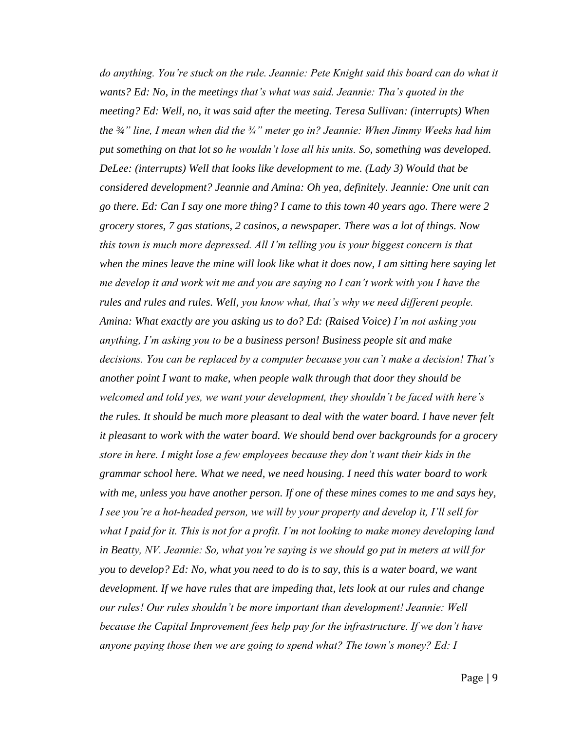*do anything. You're stuck on the rule. Jeannie: Pete Knight said this board can do what it wants? Ed: No, in the meetings that's what was said. Jeannie: Tha's quoted in the meeting? Ed: Well, no, it was said after the meeting. Teresa Sullivan: (interrupts) When the ¾" line, I mean when did the ¾" meter go in? Jeannie: When Jimmy Weeks had him put something on that lot so he wouldn't lose all his units. So, something was developed. DeLee: (interrupts) Well that looks like development to me. (Lady 3) Would that be considered development? Jeannie and Amina: Oh yea, definitely. Jeannie: One unit can go there. Ed: Can I say one more thing? I came to this town 40 years ago. There were 2 grocery stores, 7 gas stations, 2 casinos, a newspaper. There was a lot of things. Now this town is much more depressed. All I'm telling you is your biggest concern is that when the mines leave the mine will look like what it does now, I am sitting here saying let me develop it and work wit me and you are saying no I can't work with you I have the rules and rules and rules. Well, you know what, that's why we need different people. Amina: What exactly are you asking us to do? Ed: (Raised Voice) I'm not asking you anything, I'm asking you to be a business person! Business people sit and make decisions. You can be replaced by a computer because you can't make a decision! That's another point I want to make, when people walk through that door they should be welcomed and told yes, we want your development, they shouldn't be faced with here's the rules. It should be much more pleasant to deal with the water board. I have never felt it pleasant to work with the water board. We should bend over backgrounds for a grocery store in here. I might lose a few employees because they don't want their kids in the grammar school here. What we need, we need housing. I need this water board to work with me, unless you have another person. If one of these mines comes to me and says hey, I see you're a hot-headed person, we will by your property and develop it, I'll sell for what I paid for it. This is not for a profit. I'm not looking to make money developing land in Beatty, NV. Jeannie: So, what you're saying is we should go put in meters at will for you to develop? Ed: No, what you need to do is to say, this is a water board, we want development. If we have rules that are impeding that, lets look at our rules and change our rules! Our rules shouldn't be more important than development! Jeannie: Well because the Capital Improvement fees help pay for the infrastructure. If we don't have anyone paying those then we are going to spend what? The town's money? Ed: I*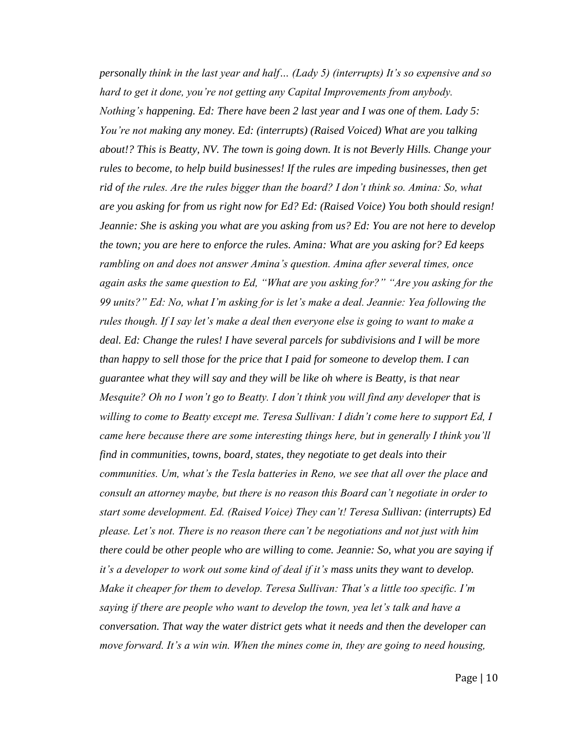*personally think in the last year and half… (Lady 5) (interrupts) It's so expensive and so hard to get it done, you're not getting any Capital Improvements from anybody. Nothing's happening. Ed: There have been 2 last year and I was one of them. Lady 5: You're not making any money. Ed: (interrupts) (Raised Voiced) What are you talking about!? This is Beatty, NV. The town is going down. It is not Beverly Hills. Change your rules to become, to help build businesses! If the rules are impeding businesses, then get rid of the rules. Are the rules bigger than the board? I don't think so. Amina: So, what are you asking for from us right now for Ed? Ed: (Raised Voice) You both should resign! Jeannie: She is asking you what are you asking from us? Ed: You are not here to develop the town; you are here to enforce the rules. Amina: What are you asking for? Ed keeps rambling on and does not answer Amina's question. Amina after several times, once again asks the same question to Ed, "What are you asking for?" "Are you asking for the 99 units?" Ed: No, what I'm asking for is let's make a deal. Jeannie: Yea following the rules though. If I say let's make a deal then everyone else is going to want to make a deal. Ed: Change the rules! I have several parcels for subdivisions and I will be more than happy to sell those for the price that I paid for someone to develop them. I can guarantee what they will say and they will be like oh where is Beatty, is that near Mesquite? Oh no I won't go to Beatty. I don't think you will find any developer that is willing to come to Beatty except me. Teresa Sullivan: I didn't come here to support Ed, I came here because there are some interesting things here, but in generally I think you'll find in communities, towns, board, states, they negotiate to get deals into their communities. Um, what's the Tesla batteries in Reno, we see that all over the place and consult an attorney maybe, but there is no reason this Board can't negotiate in order to start some development. Ed. (Raised Voice) They can't! Teresa Sullivan: (interrupts) Ed please. Let's not. There is no reason there can't be negotiations and not just with him there could be other people who are willing to come. Jeannie: So, what you are saying if it's a developer to work out some kind of deal if it's mass units they want to develop. Make it cheaper for them to develop. Teresa Sullivan: That's a little too specific. I'm saying if there are people who want to develop the town, yea let's talk and have a conversation. That way the water district gets what it needs and then the developer can move forward. It's a win win. When the mines come in, they are going to need housing,*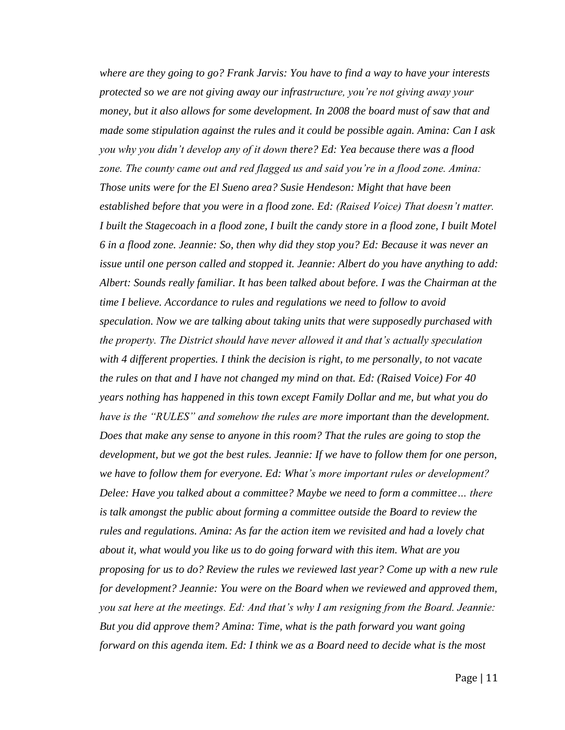*where are they going to go? Frank Jarvis: You have to find a way to have your interests protected so we are not giving away our infrastructure, you're not giving away your money, but it also allows for some development. In 2008 the board must of saw that and made some stipulation against the rules and it could be possible again. Amina: Can I ask you why you didn't develop any of it down there? Ed: Yea because there was a flood zone. The county came out and red flagged us and said you're in a flood zone. Amina: Those units were for the El Sueno area? Susie Hendeson: Might that have been established before that you were in a flood zone. Ed: (Raised Voice) That doesn't matter. I built the Stagecoach in a flood zone, I built the candy store in a flood zone, I built Motel 6 in a flood zone. Jeannie: So, then why did they stop you? Ed: Because it was never an issue until one person called and stopped it. Jeannie: Albert do you have anything to add: Albert: Sounds really familiar. It has been talked about before. I was the Chairman at the time I believe. Accordance to rules and regulations we need to follow to avoid speculation. Now we are talking about taking units that were supposedly purchased with the property. The District should have never allowed it and that's actually speculation with 4 different properties. I think the decision is right, to me personally, to not vacate the rules on that and I have not changed my mind on that. Ed: (Raised Voice) For 40 years nothing has happened in this town except Family Dollar and me, but what you do have is the "RULES" and somehow the rules are more important than the development. Does that make any sense to anyone in this room? That the rules are going to stop the development, but we got the best rules. Jeannie: If we have to follow them for one person, we have to follow them for everyone. Ed: What's more important rules or development? Delee: Have you talked about a committee? Maybe we need to form a committee… there is talk amongst the public about forming a committee outside the Board to review the rules and regulations. Amina: As far the action item we revisited and had a lovely chat about it, what would you like us to do going forward with this item. What are you proposing for us to do? Review the rules we reviewed last year? Come up with a new rule for development? Jeannie: You were on the Board when we reviewed and approved them, you sat here at the meetings. Ed: And that's why I am resigning from the Board. Jeannie: But you did approve them? Amina: Time, what is the path forward you want going forward on this agenda item. Ed: I think we as a Board need to decide what is the most*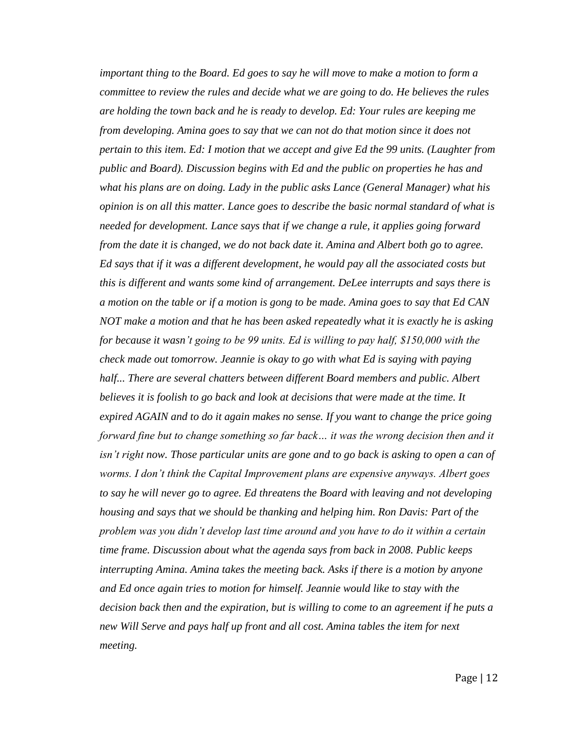*important thing to the Board. Ed goes to say he will move to make a motion to form a committee to review the rules and decide what we are going to do. He believes the rules are holding the town back and he is ready to develop. Ed: Your rules are keeping me from developing. Amina goes to say that we can not do that motion since it does not pertain to this item. Ed: I motion that we accept and give Ed the 99 units. (Laughter from public and Board). Discussion begins with Ed and the public on properties he has and what his plans are on doing. Lady in the public asks Lance (General Manager) what his opinion is on all this matter. Lance goes to describe the basic normal standard of what is needed for development. Lance says that if we change a rule, it applies going forward from the date it is changed, we do not back date it. Amina and Albert both go to agree. Ed says that if it was a different development, he would pay all the associated costs but this is different and wants some kind of arrangement. DeLee interrupts and says there is a motion on the table or if a motion is gong to be made. Amina goes to say that Ed CAN NOT make a motion and that he has been asked repeatedly what it is exactly he is asking for because it wasn't going to be 99 units. Ed is willing to pay half, \$150,000 with the check made out tomorrow. Jeannie is okay to go with what Ed is saying with paying half... There are several chatters between different Board members and public. Albert believes it is foolish to go back and look at decisions that were made at the time. It expired AGAIN and to do it again makes no sense. If you want to change the price going forward fine but to change something so far back… it was the wrong decision then and it isn't right now. Those particular units are gone and to go back is asking to open a can of worms. I don't think the Capital Improvement plans are expensive anyways. Albert goes to say he will never go to agree. Ed threatens the Board with leaving and not developing housing and says that we should be thanking and helping him. Ron Davis: Part of the problem was you didn't develop last time around and you have to do it within a certain time frame. Discussion about what the agenda says from back in 2008. Public keeps interrupting Amina. Amina takes the meeting back. Asks if there is a motion by anyone and Ed once again tries to motion for himself. Jeannie would like to stay with the decision back then and the expiration, but is willing to come to an agreement if he puts a new Will Serve and pays half up front and all cost. Amina tables the item for next meeting.*